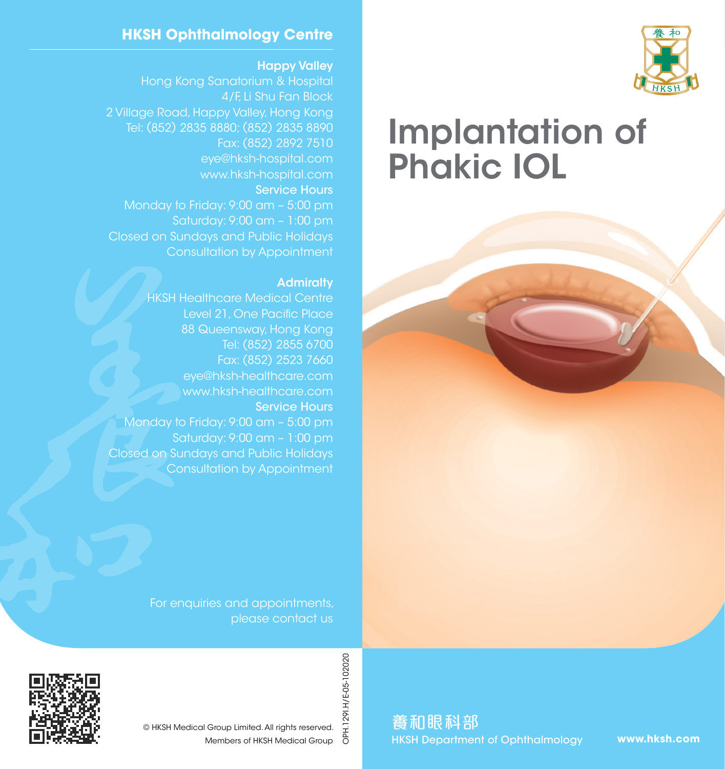

# Implantation of Phakic IOL

#### **HKSH Ophthalmology Centre**

#### Happy Valley

Hong Kong Sanatorium & Hospital 4/F, Li Shu Fan Block 2 Village Road, Happy Valley, Hong Kong Tel: (852) 2835 8880; (852) 2835 8890 Fax: (852) 2892 7510 eye@hksh-hospital.com www.hksh-hospital.com Service Hours Monday to Friday: 9:00 am – 5:00 pm Saturday: 9:00 am – 1:00 pm Closed on Sundays and Public Holidays Consultation by Appointment

#### **Admiralty**

HKSH Healthcare Medical Centre Level 21, One Pacific Place 88 Queensway, Hong Kong Tel: (852) 2855 6700 Fax: (852) 2523 7660 eye@hksh-healthcare.com www.hksh-healthcare.com Service Hours Monday to Friday: 9:00 am – 5:00 pm Saturday: 9:00 am – 1:00 pm Closed on Sundays and Public Holidays Consultation by Appointment

> For enquiries and appointments, please contact us



OPH.1291.H/E-05-102020 OPH.129I.H/E-05-102020 © HKSH Medical Group Limited. All rights reserved. Members of HKSH Medical Group

養和眼科部 HKSH Department of Ophthalmology

**www.hksh.com**